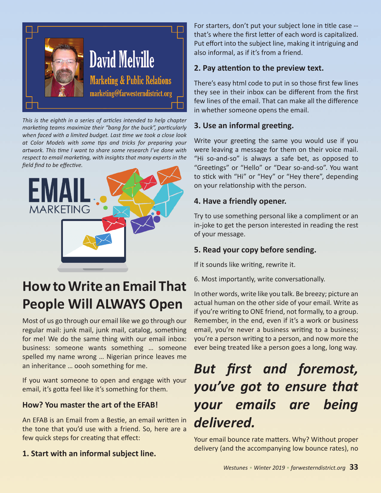

*This is the eighth in a series of articles intended to help chapter marketing teams maximize their "bang for the buck", particularly when faced with a limited budget. Last time we took a close look at Color Models with some tips and tricks for preparing your artwork. This time I want to share some research I've done with respect to email marketing, with insights that many experts in the field find to be effective.*



# **How to Write an Email That People Will ALWAYS Open**

Most of us go through our email like we go through our regular mail: junk mail, junk mail, catalog, something for me! We do the same thing with our email inbox: business: someone wants something … someone spelled my name wrong … Nigerian prince leaves me an inheritance … oooh something for me.

If you want someone to open and engage with your email, it's gotta feel like it's something for them.

## **How? You master the art of the EFAB!**

An EFAB is an Email from a Bestie, an email written in the tone that you'd use with a friend. So, here are a few quick steps for creating that effect:

**1. Start with an informal subject line.**

For starters, don't put your subject lone in title case - that's where the first letter of each word is capitalized. Put effort into the subject line, making it intriguing and also informal, as if it's from a friend.

### **2. Pay attention to the preview text.**

There's easy html code to put in so those first few lines they see in their inbox can be different from the first few lines of the email. That can make all the difference in whether someone opens the email.

## **3. Use an informal greeting.**

Write your greeting the same you would use if you were leaving a message for them on their voice mail. "Hi so-and-so" is always a safe bet, as opposed to "Greetings" or "Hello" or "Dear so-and-so". You want to stick with "Hi" or "Hey" or "Hey there", depending on your relationship with the person.

### **4. Have a friendly opener.**

Try to use something personal like a compliment or an in-joke to get the person interested in reading the rest of your message.

## **5. Read your copy before sending.**

If it sounds like writing, rewrite it.

6. Most importantly, write conversationally.

In other words, write like you talk. Be breezy; picture an actual human on the other side of your email. Write as if you're writing to ONE friend, not formally, to a group. Remember, in the end, even if it's a work or business email, you're never a business writing to a business; you're a person writing to a person, and now more the ever being treated like a person goes a long, long way.

# *But first and foremost, you've got to ensure that your emails are being delivered.*

Your email bounce rate matters. Why? Without proper delivery (and the accompanying low bounce rates), no